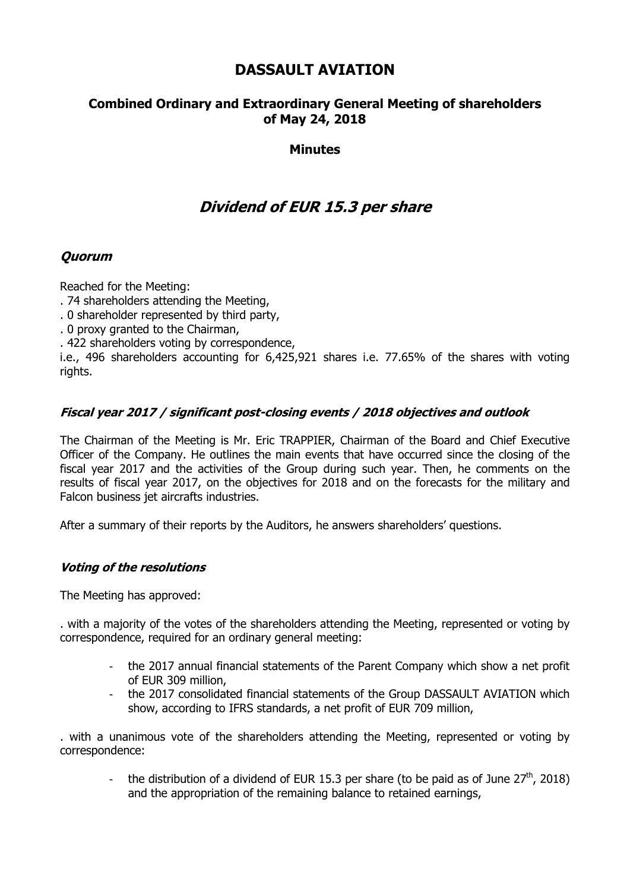# **DASSAULT AVIATION**

## **Combined Ordinary and Extraordinary General Meeting of shareholders of May 24, 2018**

### **Minutes**

# **Dividend of EUR 15.3 per share**

### **Quorum**

Reached for the Meeting:

- . 74 shareholders attending the Meeting,
- . 0 shareholder represented by third party,
- . 0 proxy granted to the Chairman,
- . 422 shareholders voting by correspondence,

i.e., 496 shareholders accounting for 6,425,921 shares i.e. 77.65% of the shares with voting rights.

### **Fiscal year 2017 / significant post-closing events / 2018 objectives and outlook**

The Chairman of the Meeting is Mr. Eric TRAPPIER, Chairman of the Board and Chief Executive Officer of the Company. He outlines the main events that have occurred since the closing of the fiscal year 2017 and the activities of the Group during such year. Then, he comments on the results of fiscal year 2017, on the objectives for 2018 and on the forecasts for the military and Falcon business jet aircrafts industries.

After a summary of their reports by the Auditors, he answers shareholders' questions.

### **Voting of the resolutions**

The Meeting has approved:

. with a majority of the votes of the shareholders attending the Meeting, represented or voting by correspondence, required for an ordinary general meeting:

- the 2017 annual financial statements of the Parent Company which show a net profit of EUR 309 million,
- the 2017 consolidated financial statements of the Group DASSAULT AVIATION which show, according to IFRS standards, a net profit of EUR 709 million,

. with a unanimous vote of the shareholders attending the Meeting, represented or voting by correspondence:

the distribution of a dividend of EUR 15.3 per share (to be paid as of June  $27<sup>th</sup>$ , 2018) and the appropriation of the remaining balance to retained earnings,